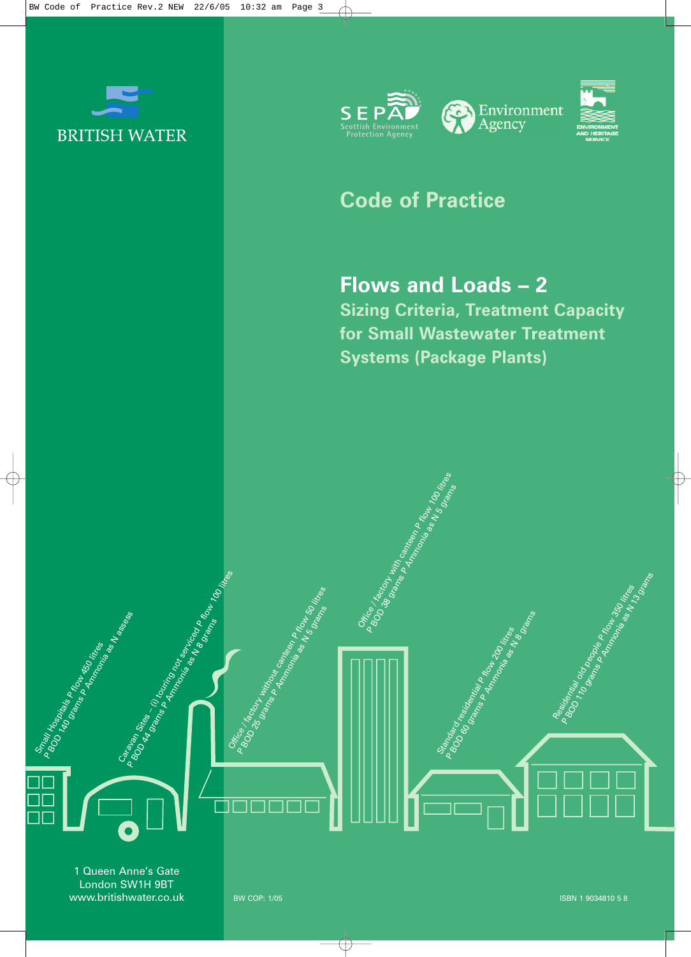



# **Code of Practice**

Office 18cm with capital candidates a flow 100 litres reserves P Brica 1 grams Primering as Now 100 in 100 mins Primering as Now 100 in 100 mins Primering as Now 100 in 100 mins Primering as Now 100 mins Primering as Now 100 mins Primering as Now 100 mins Primering as Now 100 mins Pri

## **Flows and Loads – 2**

**Sizing Criteria, Treatment Capacity for Small Wastewater Treatment Systems (Package Plants)**

> Standard residential political and distribution of the control of the control of the control of the control of P Bridget Rights Principles Construction of the Rights Principles Construction of the Rights Principles Construction of the Construction of the Construction of the Construction of the Construction of the Construction of th

1 Queen Anne's Gate London SW1H 9BT www.britishwater.co.uk

**STORES** 

Caravan Sites – (i) touring not service as a flow 100 litres experiences of the litres of the litres of the litres of the litres of the litres of the litres of the litres of the litres of the litres of the litres of the li

P BOM HOSDIALS PROMITED AT A SOCIETY AND RESIDENCE AND RESERVE ASSESSED AND RESERVE ASSESSED AND RESERVE ASSESSED AND RESERVE ASSESSED AND RESERVE ASSESSED AND RESERVE ASSESSED AND RESERVE ASSESSED AND RESERVE ASSESSED AND

Residential old people P flow 350 litres P BOOMing Concept Rights Report Follows

Office / factory without canternal and flow 50 litres of the Sample litres P Brief Second Military Control Control Control Control Control Control Control Control Control Control Control Control Control Control Control Control Control Control Control Control Control Control Control Control Contro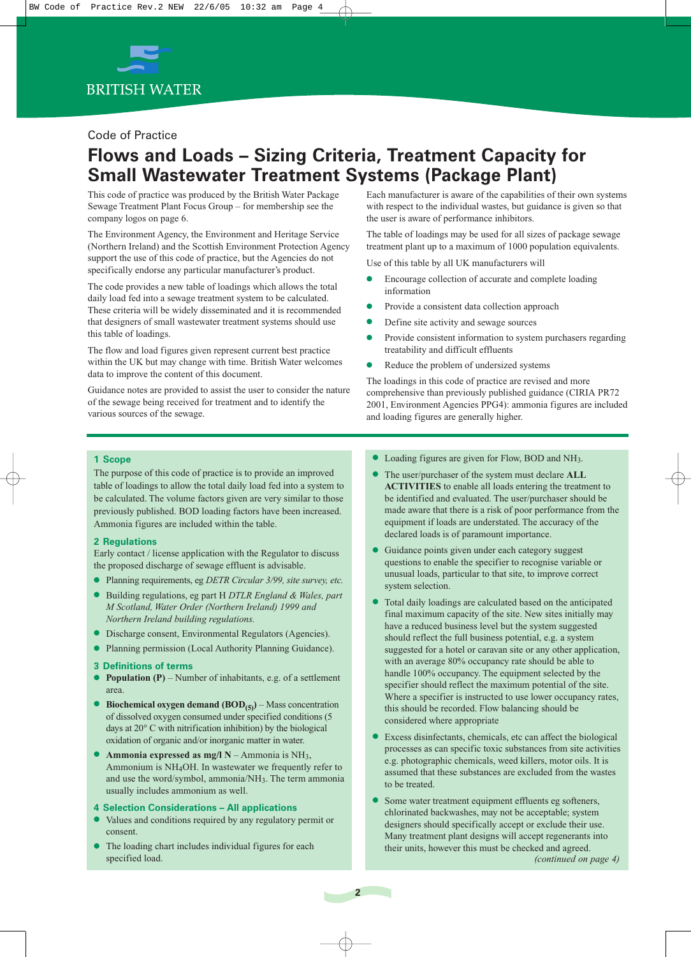

#### Code of Practice

### **Flows and Loads – Sizing Criteria, Treatment Capacity for Small Wastewater Treatment Systems (Package Plant)**

This code of practice was produced by the British Water Package Sewage Treatment Plant Focus Group – for membership see the company logos on page 6.

The Environment Agency, the Environment and Heritage Service (Northern Ireland) and the Scottish Environment Protection Agency support the use of this code of practice, but the Agencies do not specifically endorse any particular manufacturer's product.

The code provides a new table of loadings which allows the total daily load fed into a sewage treatment system to be calculated. These criteria will be widely disseminated and it is recommended that designers of small wastewater treatment systems should use this table of loadings.

The flow and load figures given represent current best practice within the UK but may change with time. British Water welcomes data to improve the content of this document.

Guidance notes are provided to assist the user to consider the nature of the sewage being received for treatment and to identify the various sources of the sewage.

Each manufacturer is aware of the capabilities of their own systems with respect to the individual wastes, but guidance is given so that the user is aware of performance inhibitors.

The table of loadings may be used for all sizes of package sewage treatment plant up to a maximum of 1000 population equivalents.

Use of this table by all UK manufacturers will

- Encourage collection of accurate and complete loading information
- Provide a consistent data collection approach
- Define site activity and sewage sources
- Provide consistent information to system purchasers regarding treatability and difficult effluents
- Reduce the problem of undersized systems

The loadings in this code of practice are revised and more comprehensive than previously published guidance (CIRIA PR72 2001, Environment Agencies PPG4): ammonia figures are included and loading figures are generally higher.

#### **1 Scope**

The purpose of this code of practice is to provide an improved table of loadings to allow the total daily load fed into a system to be calculated. The volume factors given are very similar to those previously published. BOD loading factors have been increased. Ammonia figures are included within the table.

#### **2 Regulations**

Early contact / license application with the Regulator to discuss the proposed discharge of sewage effluent is advisable.

- Planning requirements, eg *DETR Circular 3/99, site survey, etc.*
- Building regulations, eg part H *DTLR England & Wales, part M Scotland, Water Order (Northern Ireland) 1999 and Northern Ireland building regulations.*
- Discharge consent, Environmental Regulators (Agencies).
- Planning permission (Local Authority Planning Guidance).

#### **3 Definitions of terms**

- **Population**  $(P)$  Number of inhabitants, e.g. of a settlement area.
- **Biochemical oxygen demand (BOD<sub>(5)</sub>**) Mass concentration of dissolved oxygen consumed under specified conditions (5 days at 20° C with nitrification inhibition) by the biological oxidation of organic and/or inorganic matter in water.
- **Ammonia expressed as mg/l N** Ammonia is NH3, Ammonium is NH4OH. In wastewater we frequently refer to and use the word/symbol, ammonia/NH3. The term ammonia usually includes ammonium as well.

#### **4 Selection Considerations – All applications**

- Values and conditions required by any regulatory permit or consent.
- The loading chart includes individual figures for each specified load.
- Loading figures are given for Flow, BOD and NH3.
- The user/purchaser of the system must declare **ALL ACTIVITIES** to enable all loads entering the treatment to be identified and evaluated. The user/purchaser should be made aware that there is a risk of poor performance from the equipment if loads are understated. The accuracy of the declared loads is of paramount importance.
- Guidance points given under each category suggest questions to enable the specifier to recognise variable or unusual loads, particular to that site, to improve correct system selection.
- Total daily loadings are calculated based on the anticipated final maximum capacity of the site. New sites initially may have a reduced business level but the system suggested should reflect the full business potential, e.g. a system suggested for a hotel or caravan site or any other application, with an average 80% occupancy rate should be able to handle 100% occupancy. The equipment selected by the specifier should reflect the maximum potential of the site. Where a specifier is instructed to use lower occupancy rates, this should be recorded. Flow balancing should be considered where appropriate
- Excess disinfectants, chemicals, etc can affect the biological processes as can specific toxic substances from site activities e.g. photographic chemicals, weed killers, motor oils. It is assumed that these substances are excluded from the wastes to be treated.
- Some water treatment equipment effluents eg softeners, chlorinated backwashes, may not be acceptable; system designers should specifically accept or exclude their use. Many treatment plant designs will accept regenerants into their units, however this must be checked and agreed.

**2**

*(continued on page 4)*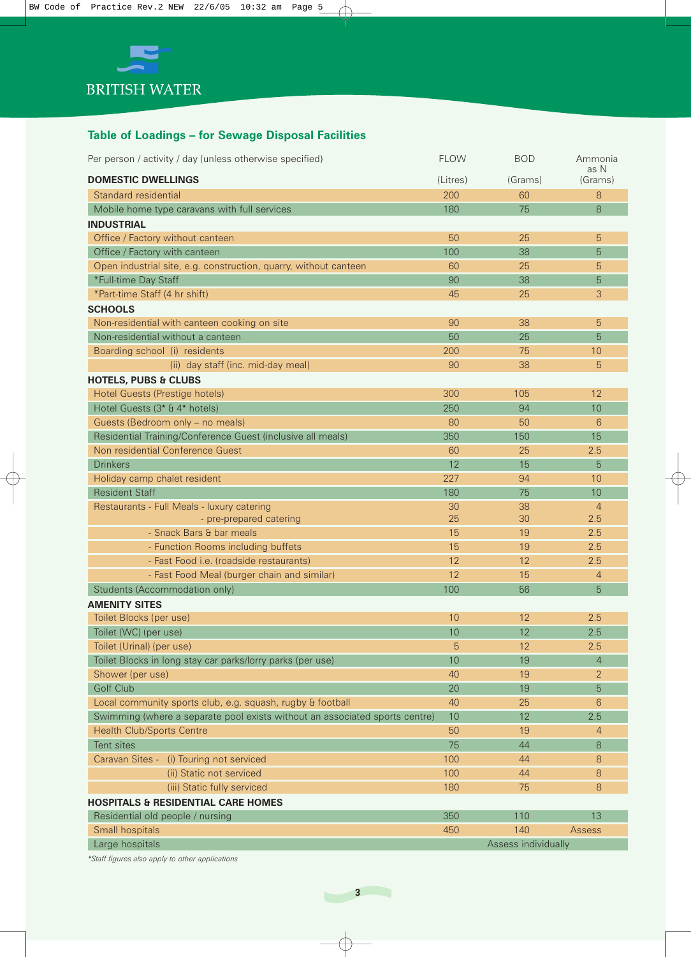

### **Table of Loadings – for Sewage Disposal Facilities**

| Per person / activity / day (unless otherwise specified)                    | <b>FLOW</b> | <b>BOD</b>          | Ammonia               |
|-----------------------------------------------------------------------------|-------------|---------------------|-----------------------|
| <b>DOMESTIC DWELLINGS</b>                                                   | (Litres)    | (Grams)             | as N<br>(Grams)       |
| Standard residential                                                        | 200         | 60                  | 8                     |
| Mobile home type caravans with full services                                | 180         | 75                  | 8                     |
| <b>INDUSTRIAL</b>                                                           |             |                     |                       |
| Office / Factory without canteen                                            | 50          | 25                  | 5                     |
| Office / Factory with canteen                                               | 100         | 38                  | 5                     |
| Open industrial site, e.g. construction, quarry, without canteen            | 60          | 25                  | 5                     |
| *Full-time Day Staff                                                        | 90          | 38                  | 5                     |
| *Part-time Staff (4 hr shift)                                               | 45          | 25                  | 3                     |
| <b>SCHOOLS</b>                                                              |             |                     |                       |
| Non-residential with canteen cooking on site                                | 90          | 38                  | 5                     |
| Non-residential without a canteen                                           | 50          | 25                  | 5                     |
| Boarding school (i) residents                                               | 200         | 75                  | 10                    |
| (ii) day staff (inc. mid-day meal)                                          | 90          | 38                  | 5                     |
| <b>HOTELS, PUBS &amp; CLUBS</b>                                             |             |                     |                       |
| Hotel Guests (Prestige hotels)                                              | 300         | 105                 | 12                    |
| Hotel Guests (3 <sup>*</sup> & 4 <sup>*</sup> hotels)                       | 250         | 94                  | 10                    |
| Guests (Bedroom only - no meals)                                            | 80          | 50                  | 6                     |
| Residential Training/Conference Guest (inclusive all meals)                 | 350         | 150                 | 15                    |
| Non residential Conference Guest                                            | 60          | 25                  | 2.5                   |
| <b>Drinkers</b>                                                             | 12          | 15                  |                       |
|                                                                             |             |                     | 5                     |
| Holiday camp chalet resident                                                | 227         | 94                  | 10                    |
| <b>Resident Staff</b>                                                       | 180         | 75                  | 10                    |
| Restaurants - Full Meals - luxury catering<br>- pre-prepared catering       | 30<br>25    | 38<br>30            | $\overline{4}$<br>2.5 |
| - Snack Bars & bar meals                                                    | 15          | 19                  | 2.5                   |
| - Function Rooms including buffets                                          | 15          | 19                  | 2.5                   |
| - Fast Food i.e. (roadside restaurants)                                     | 12          | 12                  | 2.5                   |
| - Fast Food Meal (burger chain and similar)                                 | 12          | 15                  | $\overline{4}$        |
|                                                                             |             |                     | 5                     |
| Students (Accommodation only)                                               | 100         | 56                  |                       |
| <b>AMENITY SITES</b>                                                        |             |                     |                       |
| Toilet Blocks (per use)                                                     | 10          | 12                  | 2.5                   |
| Toilet (WC) (per use)                                                       | $10$        | 12                  | 2.5                   |
| Toilet (Urinal) (per use)                                                   | 5           | 12                  | 2.5                   |
| Toilet Blocks in long stay car parks/lorry parks (per use)                  | 10          | 19                  | $\overline{4}$        |
| Shower (per use)                                                            | 40          | 19                  | 2                     |
| Golf Club                                                                   | 20          | 19                  | 5                     |
| Local community sports club, e.g. squash, rugby & football                  | 40          | 25                  | 6                     |
| Swimming (where a separate pool exists without an associated sports centre) | 10          | 12                  | 2.5                   |
| <b>Health Club/Sports Centre</b>                                            | 50          | 19                  | $\overline{4}$        |
| Tent sites                                                                  | 75          | 44                  | 8                     |
| Caravan Sites - (i) Touring not serviced                                    | 100         | 44                  | 8                     |
| (ii) Static not serviced                                                    | 100         | 44                  | 8                     |
| (iii) Static fully serviced                                                 | 180         | 75                  | 8                     |
| <b>HOSPITALS &amp; RESIDENTIAL CARE HOMES</b>                               |             |                     |                       |
| Residential old people / nursing                                            | 350         | 110                 | 13                    |
| Small hospitals                                                             | 450         | 140                 | Assess                |
| Large hospitals                                                             |             | Assess individually |                       |

*\*Staff figures also apply to other applications*

**3**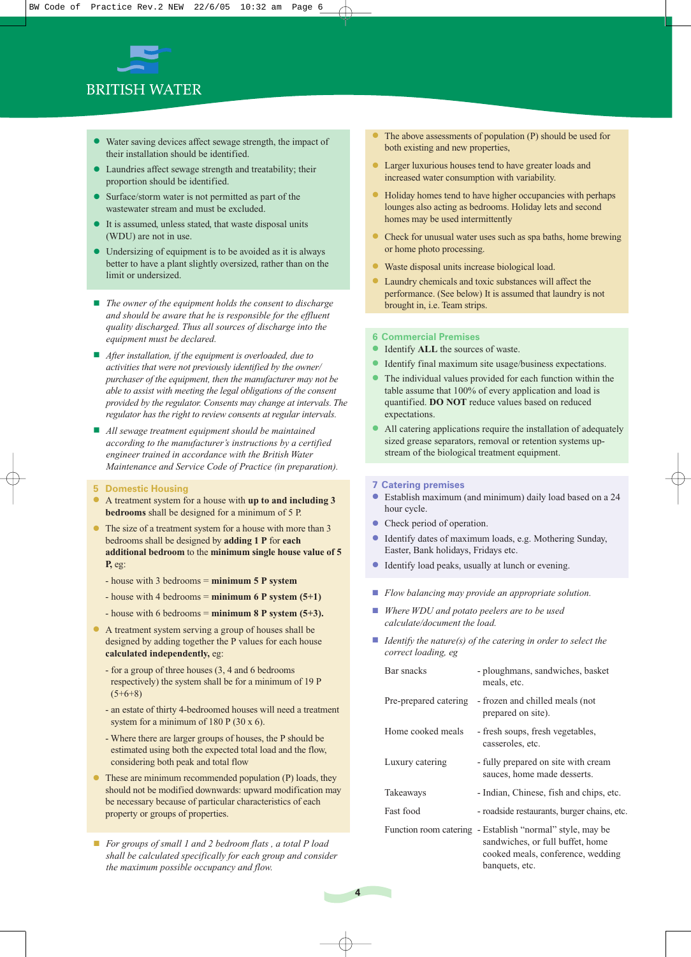

- Water saving devices affect sewage strength, the impact of their installation should be identified.
- Laundries affect sewage strength and treatability; their proportion should be identified.
- Surface/storm water is not permitted as part of the wastewater stream and must be excluded.
- It is assumed, unless stated, that waste disposal units (WDU) are not in use.
- Undersizing of equipment is to be avoided as it is always better to have a plant slightly oversized, rather than on the limit or undersized.
- *The owner of the equipment holds the consent to discharge and should be aware that he is responsible for the effluent quality discharged. Thus all sources of discharge into the equipment must be declared.*
- *After installation, if the equipment is overloaded, due to activities that were not previously identified by the owner/ purchaser of the equipment, then the manufacturer may not be able to assist with meeting the legal obligations of the consent provided by the regulator. Consents may change at intervals. The regulator has the right to review consents at regular intervals.*
- *All sewage treatment equipment should be maintained according to the manufacturer's instructions by a certified engineer trained in accordance with the British Water Maintenance and Service Code of Practice (in preparation).*
- **5 Domestic Housing**
- A treatment system for a house with **up to and including 3 bedrooms** shall be designed for a minimum of 5 P.
- The size of a treatment system for a house with more than 3 bedrooms shall be designed by **adding 1 P** for **each additional bedroom** to the **minimum single house value of 5 P,** eg:
	- house with 3 bedrooms = **minimum 5 P system**
	- $-$  house with 4 bedrooms  $=$  **minimum 6 P system (5+1)**
	- house with 6 bedrooms = **minimum 8 P system (5+3).**
- A treatment system serving a group of houses shall be designed by adding together the P values for each house **calculated independently,** eg:
	- for a group of three houses (3, 4 and 6 bedrooms respectively) the system shall be for a minimum of 19 P  $(5+6+8)$
	- an estate of thirty 4-bedroomed houses will need a treatment system for a minimum of 180 P (30 x 6).
	- Where there are larger groups of houses, the P should be estimated using both the expected total load and the flow, considering both peak and total flow
- These are minimum recommended population (P) loads, they should not be modified downwards: upward modification may be necessary because of particular characteristics of each property or groups of properties.
- *For groups of small 1 and 2 bedroom flats , a total P load shall be calculated specifically for each group and consider the maximum possible occupancy and flow.*
- The above assessments of population  $(P)$  should be used for both existing and new properties,
- Larger luxurious houses tend to have greater loads and increased water consumption with variability.
- Holiday homes tend to have higher occupancies with perhaps lounges also acting as bedrooms. Holiday lets and second homes may be used intermittently
- Check for unusual water uses such as spa baths, home brewing or home photo processing.
- Waste disposal units increase biological load.
- Laundry chemicals and toxic substances will affect the performance. (See below) It is assumed that laundry is not brought in, i.e. Team strips.

#### **6 Commercial Premises**

- Identify **ALL** the sources of waste.
- Identify final maximum site usage/business expectations.
- The individual values provided for each function within the table assume that 100% of every application and load is quantified. **DO NOT** reduce values based on reduced expectations.
- All catering applications require the installation of adequately sized grease separators, removal or retention systems upstream of the biological treatment equipment.

#### **7 Catering premises**

- Establish maximum (and minimum) daily load based on a 24 hour cycle.
- Check period of operation.
- Identify dates of maximum loads, e.g. Mothering Sunday, Easter, Bank holidays, Fridays etc.
- Identify load peaks, usually at lunch or evening.
- *Flow balancing may provide an appropriate solution.*
- *Where WDU and potato peelers are to be used calculate/document the load.*
- *Identify the nature(s) of the catering in order to select the correct loading, eg*

| Bar snacks            | - ploughmans, sandwiches, basket<br>meals, etc.                                                                                    |
|-----------------------|------------------------------------------------------------------------------------------------------------------------------------|
| Pre-prepared catering | - frozen and chilled meals (not)<br>prepared on site).                                                                             |
| Home cooked meals     | - fresh soups, fresh vegetables,<br>casseroles, etc.                                                                               |
| Luxury catering       | - fully prepared on site with cream<br>sauces, home made desserts.                                                                 |
| Takeaways             | - Indian, Chinese, fish and chips, etc.                                                                                            |
| <b>Fast food</b>      | - roadside restaurants, burger chains, etc.                                                                                        |
|                       | Function room catering - Establish "normal" style, may be<br>sandwiches, or full buffet, home<br>cooked meals, conference, wedding |

banquets, etc.

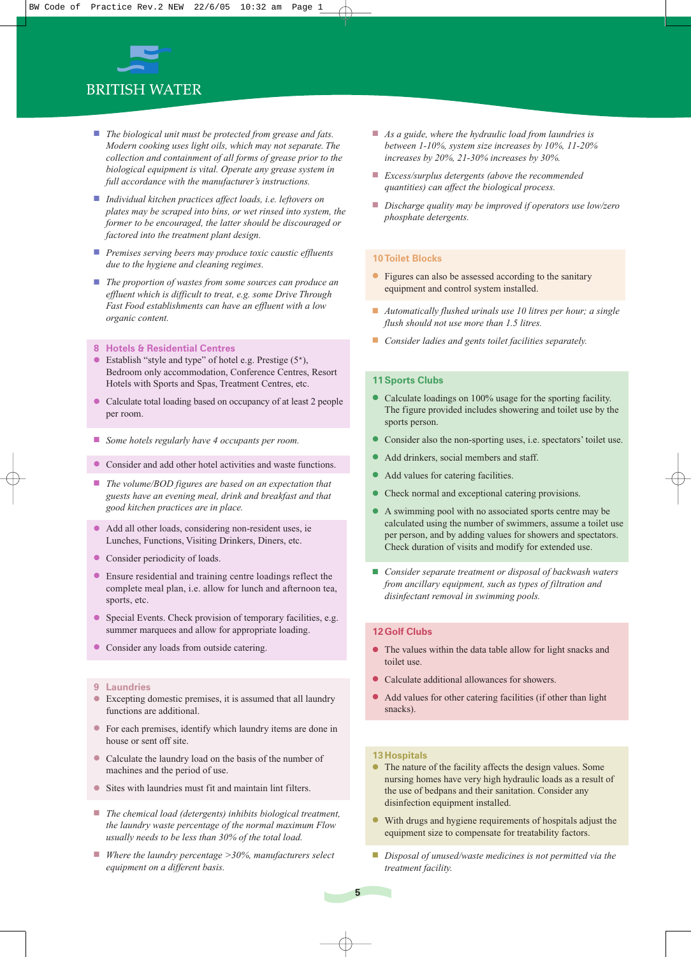

- *The biological unit must be protected from grease and fats. Modern cooking uses light oils, which may not separate. The collection and containment of all forms of grease prior to the biological equipment is vital. Operate any grease system in full accordance with the manufacturer's instructions.*
- *Individual kitchen practices affect loads, i.e. leftovers on plates may be scraped into bins, or wet rinsed into system, the former to be encouraged, the latter should be discouraged or factored into the treatment plant design.*
- *Premises serving beers may produce toxic caustic effluents due to the hygiene and cleaning regimes.*
- *The proportion of wastes from some sources can produce an effluent which is difficult to treat, e.g. some Drive Through Fast Food establishments can have an effluent with a low organic content.*
- **8 Hotels & Residential Centres**
- Establish "style and type" of hotel e.g. Prestige  $(5^*)$ , Bedroom only accommodation, Conference Centres, Resort Hotels with Sports and Spas, Treatment Centres, etc.
- Calculate total loading based on occupancy of at least 2 people per room.
- *Some hotels regularly have 4 occupants per room.*
- Consider and add other hotel activities and waste functions.
- *The volume/BOD figures are based on an expectation that guests have an evening meal, drink and breakfast and that good kitchen practices are in place.*
- Add all other loads, considering non-resident uses, ie Lunches, Functions, Visiting Drinkers, Diners, etc.
- Consider periodicity of loads.
- Ensure residential and training centre loadings reflect the complete meal plan, i.e. allow for lunch and afternoon tea, sports, etc.
- Special Events. Check provision of temporary facilities, e.g. summer marquees and allow for appropriate loading.
- Consider any loads from outside catering.

#### **9 Laundries**

- Excepting domestic premises, it is assumed that all laundry functions are additional.
- For each premises, identify which laundry items are done in house or sent off site.
- Calculate the laundry load on the basis of the number of machines and the period of use.
- Sites with laundries must fit and maintain lint filters.
- *The chemical load (detergents) inhibits biological treatment, the laundry waste percentage of the normal maximum Flow usually needs to be less than 30% of the total load.*
- *Where the laundry percentage >30%, manufacturers select equipment on a different basis.*
- *As a guide, where the hydraulic load from laundries is between 1-10%, system size increases by 10%, 11-20% increases by 20%, 21-30% increases by 30%.*
- *Excess/surplus detergents (above the recommended quantities) can affect the biological process.*
- *Discharge quality may be improved if operators use low/zero phosphate detergents.*

#### **10 Toilet Blocks**

- Figures can also be assessed according to the sanitary equipment and control system installed.
- *Automatically flushed urinals use 10 litres per hour; a single flush should not use more than 1.5 litres.*
- *Consider ladies and gents toilet facilities separately.*

#### **11 Sports Clubs**

- Calculate loadings on 100% usage for the sporting facility. The figure provided includes showering and toilet use by the sports person.
- Consider also the non-sporting uses, i.e. spectators' toilet use.
- Add drinkers, social members and staff.
- Add values for catering facilities.
- Check normal and exceptional catering provisions.
- A swimming pool with no associated sports centre may be calculated using the number of swimmers, assume a toilet use per person, and by adding values for showers and spectators. Check duration of visits and modify for extended use.
- Consider separate treatment or disposal of backwash waters *from ancillary equipment, such as types of filtration and disinfectant removal in swimming pools.*

#### **12 Golf Clubs**

- The values within the data table allow for light snacks and toilet use.
- Calculate additional allowances for showers.
- Add values for other catering facilities (if other than light snacks).

#### **13 Hospitals**

- The nature of the facility affects the design values. Some nursing homes have very high hydraulic loads as a result of the use of bedpans and their sanitation. Consider any disinfection equipment installed.
- With drugs and hygiene requirements of hospitals adjust the equipment size to compensate for treatability factors.
- *Disposal of unused/waste medicines is not permitted via the treatment facility.*